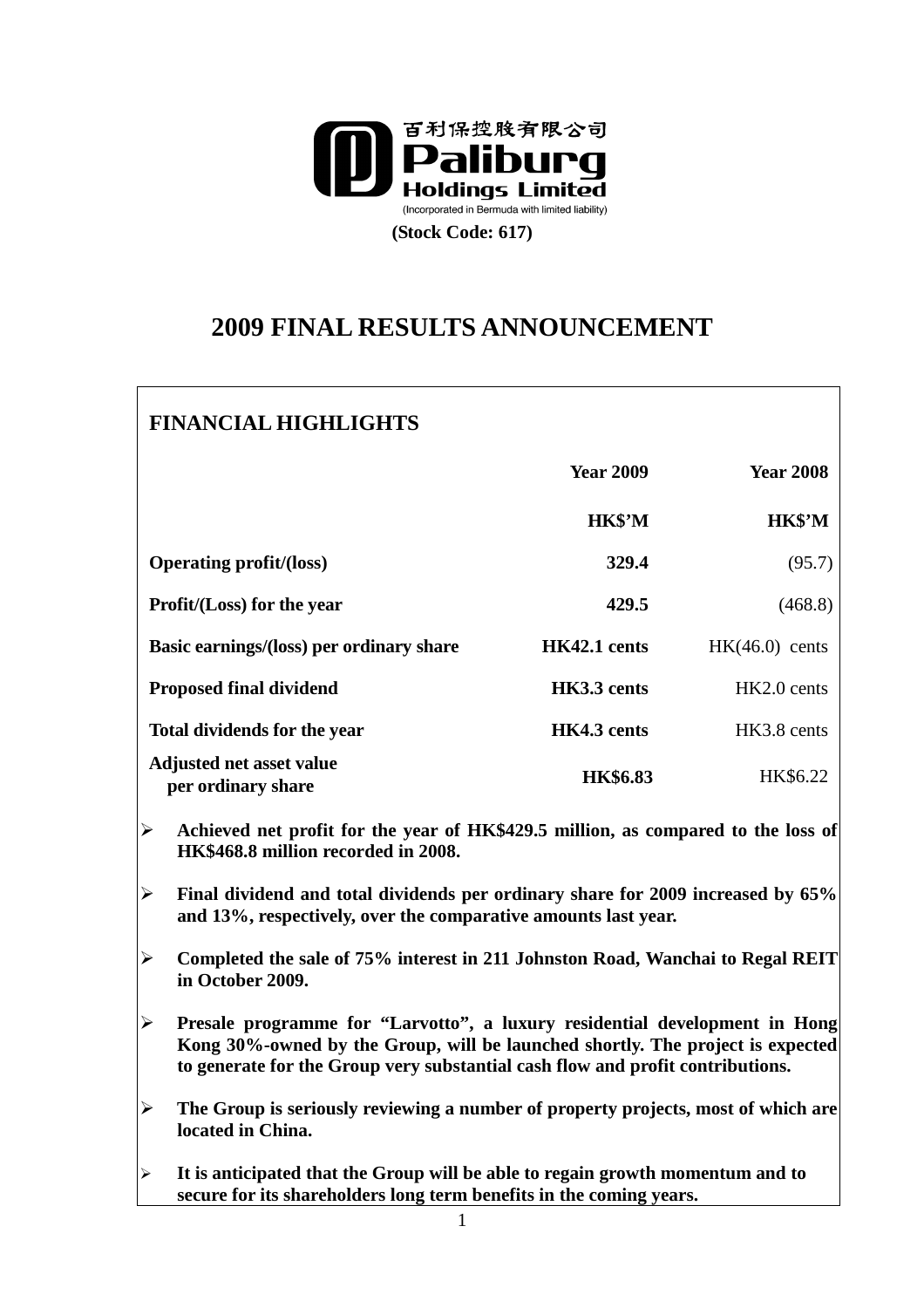

# **2009 FINAL RESULTS ANNOUNCEMENT**

## **FINANCIAL HIGHLIGHTS**

|                                                | <b>Year 2009</b> | <b>Year 2008</b> |
|------------------------------------------------|------------------|------------------|
|                                                | HK\$'M           | HK\$'M           |
| <b>Operating profit/(loss)</b>                 | 329.4            | (95.7)           |
| <b>Profit/(Loss)</b> for the year              | 429.5            | (468.8)          |
| Basic earnings/(loss) per ordinary share       | HK42.1 cents     | $HK(46.0)$ cents |
| <b>Proposed final dividend</b>                 | HK3.3 cents      | $HK2.0$ cents    |
| <b>Total dividends for the year</b>            | HK4.3 cents      | HK3.8 cents      |
| Adjusted net asset value<br>per ordinary share | <b>HK\$6.83</b>  | HK\$6.22         |

 **Achieved net profit for the year of HK\$429.5 million, as compared to the loss of HK\$468.8 million recorded in 2008.** 

 **Final dividend and total dividends per ordinary share for 2009 increased by 65% and 13%, respectively, over the comparative amounts last year.** 

- **Completed the sale of 75% interest in 211 Johnston Road, Wanchai to Regal REIT in October 2009.**
- **Presale programme for "Larvotto", a luxury residential development in Hong Kong 30%-owned by the Group, will be launched shortly. The project is expected to generate for the Group very substantial cash flow and profit contributions.**
- **The Group is seriously reviewing a number of property projects, most of which are located in China.**
- **It is anticipated that the Group will be able to regain growth momentum and to secure for its shareholders long term benefits in the coming years.**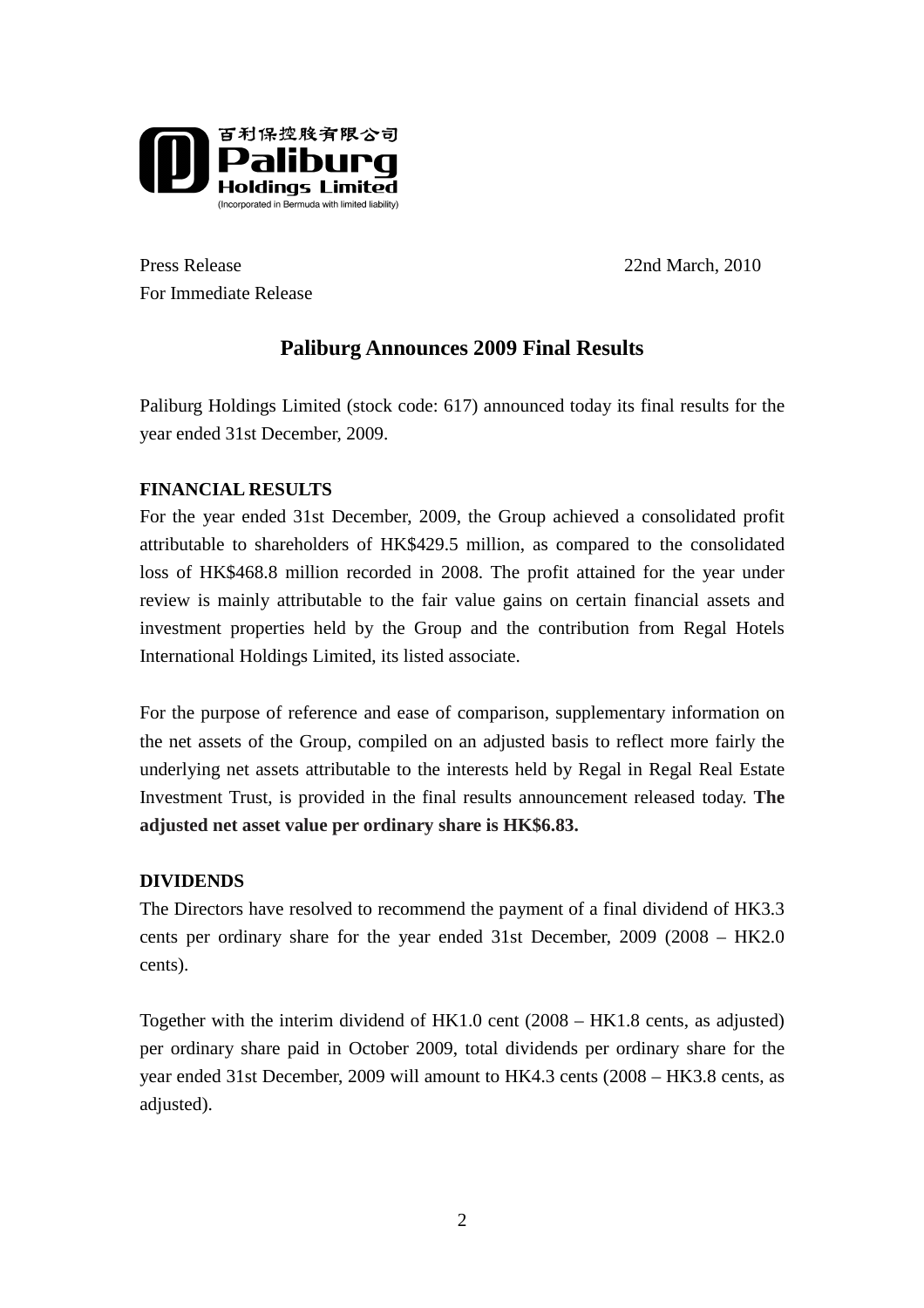

Press Release 22nd March, 2010 For Immediate Release

## **Paliburg Announces 2009 Final Results**

Paliburg Holdings Limited (stock code: 617) announced today its final results for the year ended 31st December, 2009.

## **FINANCIAL RESULTS**

For the year ended 31st December, 2009, the Group achieved a consolidated profit attributable to shareholders of HK\$429.5 million, as compared to the consolidated loss of HK\$468.8 million recorded in 2008. The profit attained for the year under review is mainly attributable to the fair value gains on certain financial assets and investment properties held by the Group and the contribution from Regal Hotels International Holdings Limited, its listed associate.

For the purpose of reference and ease of comparison, supplementary information on the net assets of the Group, compiled on an adjusted basis to reflect more fairly the underlying net assets attributable to the interests held by Regal in Regal Real Estate Investment Trust, is provided in the final results announcement released today. **The adjusted net asset value per ordinary share is HK\$6.83.** 

## **DIVIDENDS**

The Directors have resolved to recommend the payment of a final dividend of HK3.3 cents per ordinary share for the year ended 31st December, 2009 (2008 – HK2.0 cents).

Together with the interim dividend of HK1.0 cent (2008 – HK1.8 cents, as adjusted) per ordinary share paid in October 2009, total dividends per ordinary share for the year ended 31st December, 2009 will amount to HK4.3 cents (2008 – HK3.8 cents, as adjusted).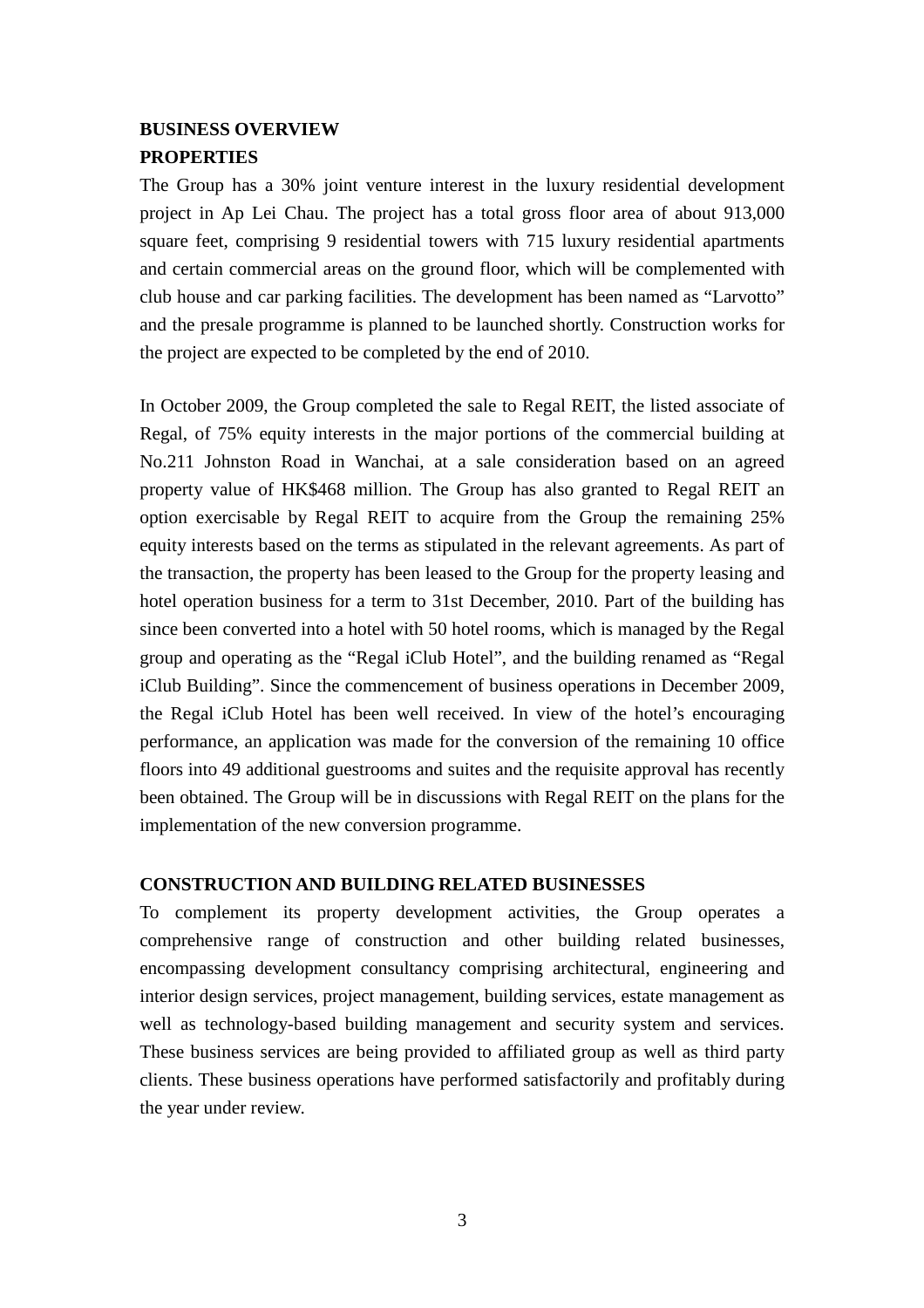## **BUSINESS OVERVIEW PROPERTIES**

The Group has a 30% joint venture interest in the luxury residential development project in Ap Lei Chau. The project has a total gross floor area of about 913,000 square feet, comprising 9 residential towers with 715 luxury residential apartments and certain commercial areas on the ground floor, which will be complemented with club house and car parking facilities. The development has been named as "Larvotto" and the presale programme is planned to be launched shortly. Construction works for the project are expected to be completed by the end of 2010.

In October 2009, the Group completed the sale to Regal REIT, the listed associate of Regal, of 75% equity interests in the major portions of the commercial building at No.211 Johnston Road in Wanchai, at a sale consideration based on an agreed property value of HK\$468 million. The Group has also granted to Regal REIT an option exercisable by Regal REIT to acquire from the Group the remaining 25% equity interests based on the terms as stipulated in the relevant agreements. As part of the transaction, the property has been leased to the Group for the property leasing and hotel operation business for a term to 31st December, 2010. Part of the building has since been converted into a hotel with 50 hotel rooms, which is managed by the Regal group and operating as the "Regal iClub Hotel", and the building renamed as "Regal iClub Building". Since the commencement of business operations in December 2009, the Regal iClub Hotel has been well received. In view of the hotel's encouraging performance, an application was made for the conversion of the remaining 10 office floors into 49 additional guestrooms and suites and the requisite approval has recently been obtained. The Group will be in discussions with Regal REIT on the plans for the implementation of the new conversion programme.

#### **CONSTRUCTION AND BUILDING RELATED BUSINESSES**

To complement its property development activities, the Group operates a comprehensive range of construction and other building related businesses, encompassing development consultancy comprising architectural, engineering and interior design services, project management, building services, estate management as well as technology-based building management and security system and services. These business services are being provided to affiliated group as well as third party clients. These business operations have performed satisfactorily and profitably during the year under review.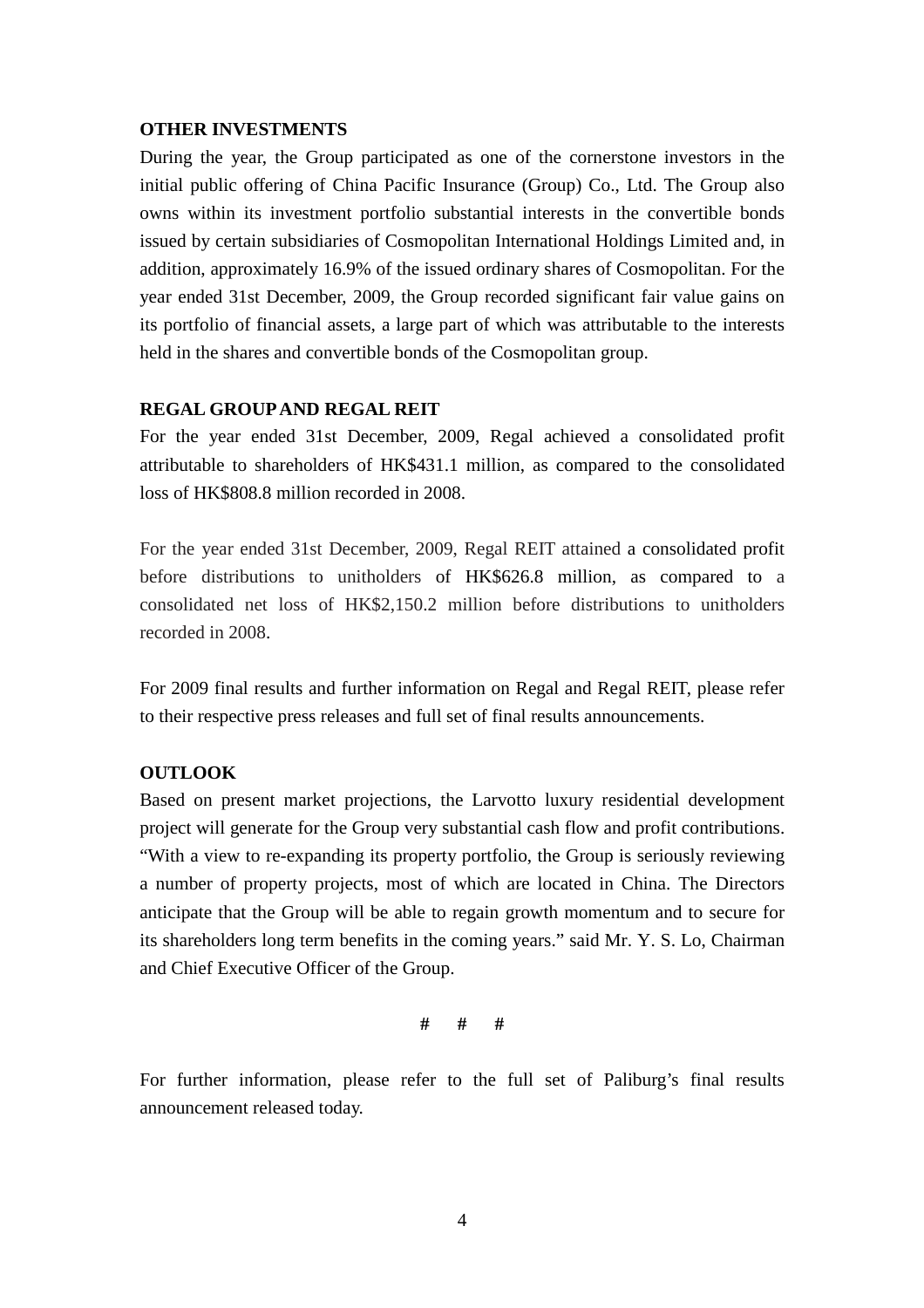#### **OTHER INVESTMENTS**

During the year, the Group participated as one of the cornerstone investors in the initial public offering of China Pacific Insurance (Group) Co., Ltd. The Group also owns within its investment portfolio substantial interests in the convertible bonds issued by certain subsidiaries of Cosmopolitan International Holdings Limited and, in addition, approximately 16.9% of the issued ordinary shares of Cosmopolitan. For the year ended 31st December, 2009, the Group recorded significant fair value gains on its portfolio of financial assets, a large part of which was attributable to the interests held in the shares and convertible bonds of the Cosmopolitan group.

#### **REGAL GROUP AND REGAL REIT**

For the year ended 31st December, 2009, Regal achieved a consolidated profit attributable to shareholders of HK\$431.1 million, as compared to the consolidated loss of HK\$808.8 million recorded in 2008.

For the year ended 31st December, 2009, Regal REIT attained a consolidated profit before distributions to unitholders of HK\$626.8 million, as compared to a consolidated net loss of HK\$2,150.2 million before distributions to unitholders recorded in 2008.

For 2009 final results and further information on Regal and Regal REIT, please refer to their respective press releases and full set of final results announcements.

### **OUTLOOK**

Based on present market projections, the Larvotto luxury residential development project will generate for the Group very substantial cash flow and profit contributions. "With a view to re-expanding its property portfolio, the Group is seriously reviewing a number of property projects, most of which are located in China. The Directors anticipate that the Group will be able to regain growth momentum and to secure for its shareholders long term benefits in the coming years." said Mr. Y. S. Lo, Chairman and Chief Executive Officer of the Group.

**# # #** 

For further information, please refer to the full set of Paliburg's final results announcement released today.